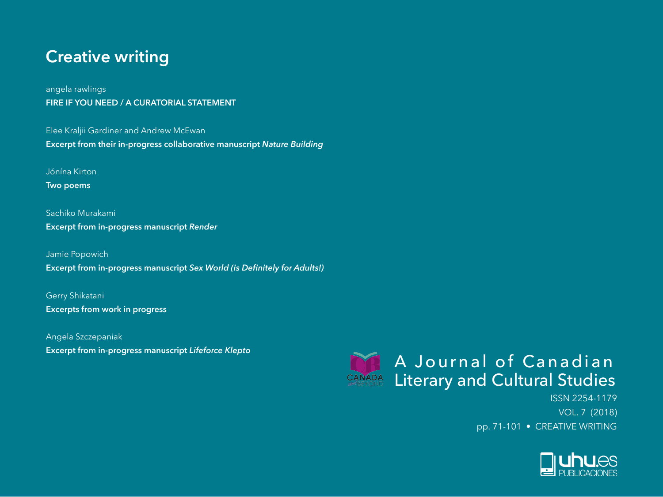## **Creative writing**

angela rawlings **FIRE IF YOU NEED / A CURATORIAL STATEMENT**

Elee Kraljii Gardiner and Andrew McEwan **Excerpt from their in-progress collaborative manuscript** *Nature Building*

Jónína Kirton

**Two poems**

Sachiko Murakami **Excerpt from in-progress manuscript** *Render*

Jamie Popowich **Excerpt from in-progress manuscript** *Sex World (is Definitely for Adults!)*

Gerry Shikatani **Excerpts from work in progress**

Angela Szczepaniak **Excerpt from in-progress manuscript** *Lifeforce Klepto*



ISSN 2254-1179 VOL. 7 (2018) pp. 71-101 • CREATIVE WRITING

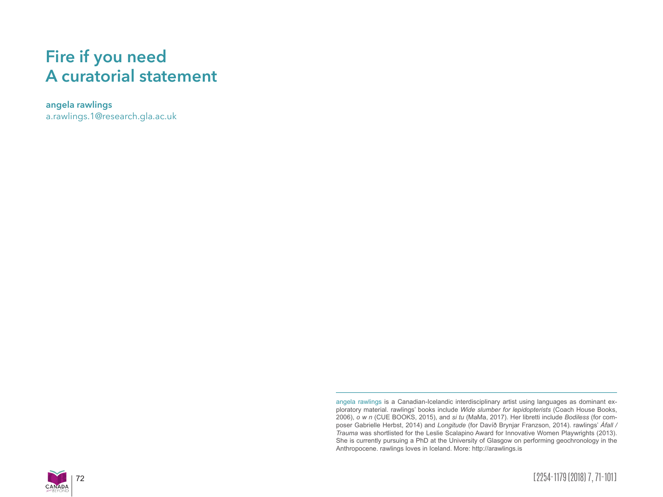## **Fire if you need A curatorial statement**

**angela rawlings** a.rawlings.1@research.gla.ac.uk

> angela rawlings is a Canadian-Icelandic interdisciplinary artist using languages as dominant exploratory material. rawlings' books include *Wide slumber for lepidopterists* (Coach House Books, 2006), *o w n* (CUE BOOKS, 2015), and *si tu* (MaMa, 2017). Her libretti include *Bodiless* (for composer Gabrielle Herbst, 2014) and *Longitude* (for Davíð Brynjar Franzson, 2014). rawlings' *Áfall / Trauma* was shortlisted for the Leslie Scalapino Award for Innovative Women Playwrights (2013). She is currently pursuing a PhD at the University of Glasgow on performing geochronology in the Anthropocene. rawlings loves in Iceland. More: http://arawlings.is



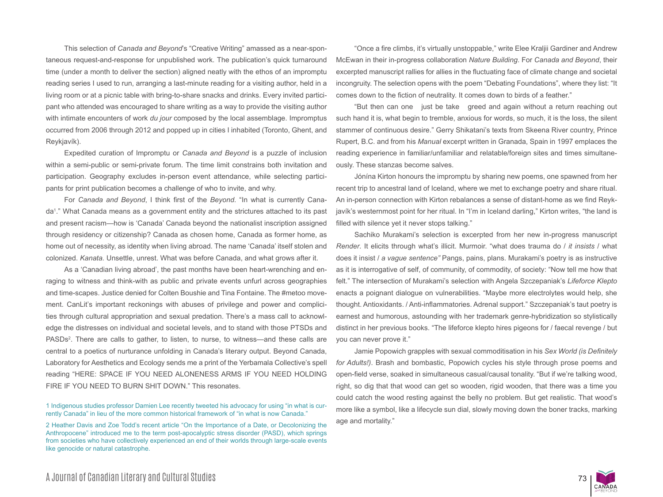This selection of *Canada and Beyond*'s "Creative Writing" amassed as a near-spontaneous request-and-response for unpublished work. The publication's quick turnaround time (under a month to deliver the section) aligned neatly with the ethos of an impromptu reading series I used to run, arranging a last-minute reading for a visiting author, held in a living room or at a picnic table with bring-to-share snacks and drinks. Every invited participant who attended was encouraged to share writing as a way to provide the visiting author with intimate encounters of work *du jour* composed by the local assemblage. Impromptus occurred from 2006 through 2012 and popped up in cities I inhabited (Toronto, Ghent, and Reykjavík).

Expedited curation of Impromptu or *Canada and Beyond* is a puzzle of inclusion within a semi-public or semi-private forum. The time limit constrains both invitation and participation. Geography excludes in-person event attendance, while selecting participants for print publication becomes a challenge of who to invite, and why.

For *Canada and Beyond*, I think first of the *Beyond*. "In what is currently Canada1 ." What Canada means as a government entity and the strictures attached to its past and present racism—how is 'Canada' Canada beyond the nationalist inscription assigned through residency or citizenship? Canada as chosen home, Canada as former home, as home out of necessity, as identity when living abroad. The name 'Canada' itself stolen and colonized. *Kanata.* Unsettle, unrest. What was before Canada, and what grows after it.

As a 'Canadian living abroad', the past months have been heart-wrenching and enraging to witness and think-with as public and private events unfurl across geographies and time-scapes. Justice denied for Colten Boushie and Tina Fontaine. The #metoo movement. CanLit's important reckonings with abuses of privilege and power and complicities through cultural appropriation and sexual predation. There's a mass call to acknowledge the distresses on individual and societal levels, and to stand with those PTSDs and PASDs<sup>2</sup>. There are calls to gather, to listen, to nurse, to witness—and these calls are central to a poetics of nurturance unfolding in Canada's literary output. Beyond Canada, Laboratory for Aesthetics and Ecology sends me a print of the Yerbamala Collective's spell reading "HERE: SPACE IF YOU NEED ALONENESS ARMS IF YOU NEED HOLDING FIRE IF YOU NEED TO BURN SHIT DOWN." This resonates.

1 Indigenous studies professor Damien Lee recently tweeted his advocacy for using "in what is currently Canada" in lieu of the more common historical framework of "in what is now Canada."

2 Heather Davis and Zoe Todd's recent article "On the Importance of a Date, or Decolonizing the Anthropocene" introduced me to the term post-apocalyptic stress disorder (PASD), which springs from societies who have collectively experienced an end of their worlds through large-scale events like genocide or natural catastrophe.

"Once a fire climbs, it's virtually unstoppable," write Elee Kraljii Gardiner and Andrew McEwan in their in-progress collaboration *Nature Building*. For *Canada and Beyond*, their excerpted manuscript rallies for allies in the fluctuating face of climate change and societal incongruity. The selection opens with the poem "Debating Foundations", where they list: "It comes down to the fiction of neutrality. It comes down to birds of a feather."

"But then can one just be take greed and again without a return reaching out such hand it is, what begin to tremble, anxious for words, so much, it is the loss, the silent stammer of continuous desire." Gerry Shikatani's texts from Skeena River country, Prince Rupert, B.C. and from his *Manual* excerpt written in Granada, Spain in 1997 emplaces the reading experience in familiar/unfamiliar and relatable/foreign sites and times simultaneously. These stanzas become salves.

Jónína Kirton honours the impromptu by sharing new poems, one spawned from her recent trip to ancestral land of Iceland, where we met to exchange poetry and share ritual. An in-person connection with Kirton rebalances a sense of distant-home as we find Reykjavík's westernmost point for her ritual. In "I'm in Iceland darling," Kirton writes, "the land is filled with silence yet it never stops talking."

Sachiko Murakami's selection is excerpted from her new in-progress manuscript *Render*. It elicits through what's illicit. Murmoir. "what does trauma do / *it insists* / what does it insist / *a vague sentence"* Pangs, pains, plans. Murakami's poetry is as instructive as it is interrogative of self, of community, of commodity, of society: "Now tell me how that felt." The intersection of Murakami's selection with Angela Szczepaniak's *Lifeforce Klepto* enacts a poignant dialogue on vulnerabilities. "Maybe more electrolytes would help, she thought. Antioxidants. / Anti-inflammatories. Adrenal support." Szczepaniak's taut poetry is earnest and humorous, astounding with her trademark genre-hybridization so stylistically distinct in her previous books. "The lifeforce klepto hires pigeons for / faecal revenge / but you can never prove it."

Jamie Popowich grapples with sexual commoditisation in his *Sex World (is Definitely for Adults!)*. Brash and bombastic, Popowich cycles his style through prose poems and open-field verse, soaked in simultaneous casual/causal tonality. "But if we're talking wood, right, so dig that that wood can get so wooden, rigid wooden, that there was a time you could catch the wood resting against the belly no problem. But get realistic. That wood's more like a symbol, like a lifecycle sun dial, slowly moving down the boner tracks, marking age and mortality."